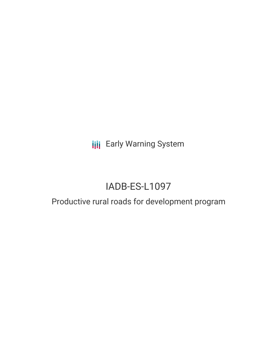**III** Early Warning System

# IADB-ES-L1097

## Productive rural roads for development program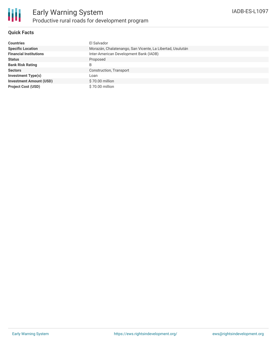

#### **Quick Facts**

| <b>Countries</b>               | El Salvador                                               |
|--------------------------------|-----------------------------------------------------------|
| <b>Specific Location</b>       | Morazán, Chalatenango, San Vicente, La Libertad, Usulután |
| <b>Financial Institutions</b>  | Inter-American Development Bank (IADB)                    |
| <b>Status</b>                  | Proposed                                                  |
| <b>Bank Risk Rating</b>        | B                                                         |
| <b>Sectors</b>                 | Construction, Transport                                   |
| <b>Investment Type(s)</b>      | Loan                                                      |
| <b>Investment Amount (USD)</b> | \$70.00 million                                           |
| <b>Project Cost (USD)</b>      | \$70.00 million                                           |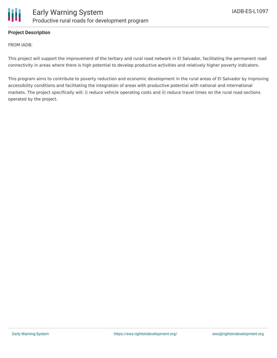

#### **Project Description**

FROM IADB:

This project will support the improvement of the tertiary and rural road network in El Salvador, facilitating the permanent road connectivity in areas where there is high potential to develop productive activities and relatively higher poverty indicators.

This program aims to contribute to poverty reduction and economic development in the rural areas of El Salvador by improving accessibility conditions and facilitating the integration of areas with productive potential with national and international markets. The project specifically will: i) reduce vehicle operating costs and ii) reduce travel times on the rural road sections operated by the project.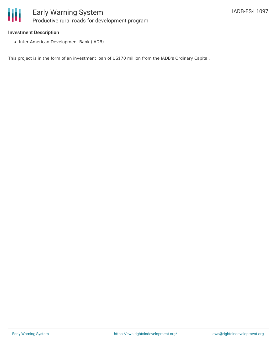

#### **Investment Description**

• Inter-American Development Bank (IADB)

This project is in the form of an investment loan of US\$70 million from the IADB's Ordinary Capital.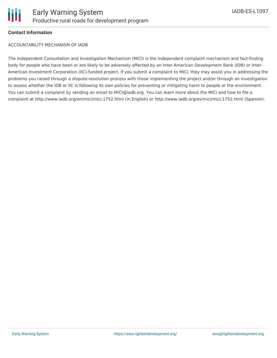

#### **Contact Information**

ACCOUNTABILITY MECHANISM OF IADB

The Independent Consultation and Investigation Mechanism (MICI) is the independent complaint mechanism and fact-finding body for people who have been or are likely to be adversely affected by an Inter-American Development Bank (IDB) or Inter-American Investment Corporation (IIC)-funded project. If you submit a complaint to MICI, they may assist you in addressing the problems you raised through a dispute-resolution process with those implementing the project and/or through an investigation to assess whether the IDB or IIC is following its own policies for preventing or mitigating harm to people or the environment. You can submit a complaint by sending an email to MICI@iadb.org. You can learn more about the MICI and how to file a complaint at http://www.iadb.org/en/mici/mici,1752.html (in English) or http://www.iadb.org/es/mici/mici,1752.html (Spanish).